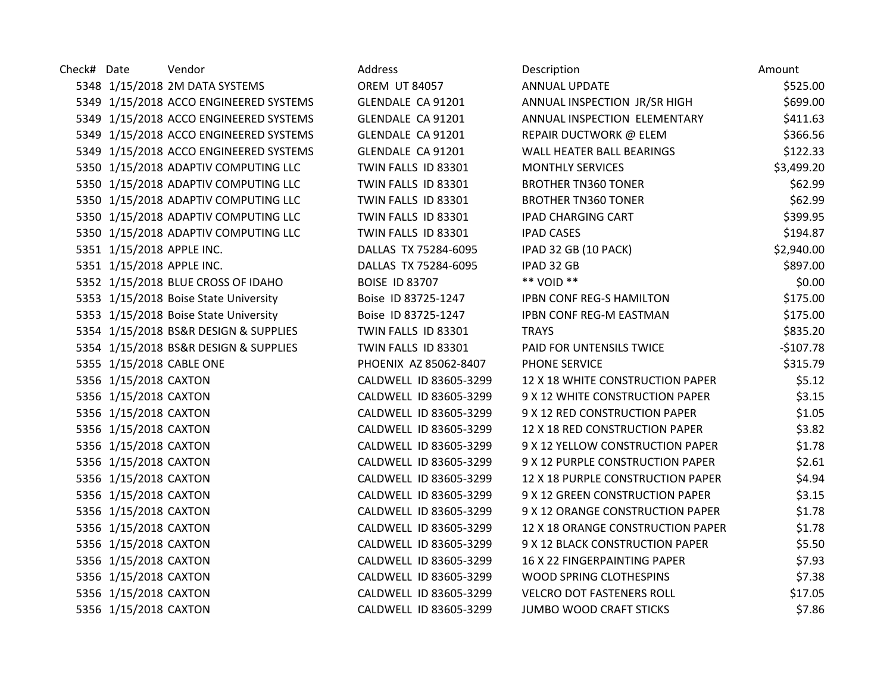| Check# Date |                           | Vendor                                 | Address                | Description                       | Amount     |
|-------------|---------------------------|----------------------------------------|------------------------|-----------------------------------|------------|
|             |                           | 5348 1/15/2018 2M DATA SYSTEMS         | <b>OREM UT 84057</b>   | ANNUAL UPDATE                     | \$525.00   |
|             |                           | 5349 1/15/2018 ACCO ENGINEERED SYSTEMS | GLENDALE CA 91201      | ANNUAL INSPECTION JR/SR HIGH      | \$699.00   |
|             |                           | 5349 1/15/2018 ACCO ENGINEERED SYSTEMS | GLENDALE CA 91201      | ANNUAL INSPECTION ELEMENTARY      | \$411.63   |
|             |                           | 5349 1/15/2018 ACCO ENGINEERED SYSTEMS | GLENDALE CA 91201      | REPAIR DUCTWORK @ ELEM            | \$366.56   |
|             |                           | 5349 1/15/2018 ACCO ENGINEERED SYSTEMS | GLENDALE CA 91201      | WALL HEATER BALL BEARINGS         | \$122.33   |
|             |                           | 5350 1/15/2018 ADAPTIV COMPUTING LLC   | TWIN FALLS ID 83301    | <b>MONTHLY SERVICES</b>           | \$3,499.20 |
|             |                           | 5350 1/15/2018 ADAPTIV COMPUTING LLC   | TWIN FALLS ID 83301    | <b>BROTHER TN360 TONER</b>        | \$62.99    |
|             |                           | 5350 1/15/2018 ADAPTIV COMPUTING LLC   | TWIN FALLS ID 83301    | <b>BROTHER TN360 TONER</b>        | \$62.99    |
|             |                           | 5350 1/15/2018 ADAPTIV COMPUTING LLC   | TWIN FALLS ID 83301    | <b>IPAD CHARGING CART</b>         | \$399.95   |
|             |                           | 5350 1/15/2018 ADAPTIV COMPUTING LLC   | TWIN FALLS ID 83301    | <b>IPAD CASES</b>                 | \$194.87   |
|             | 5351 1/15/2018 APPLE INC. |                                        | DALLAS TX 75284-6095   | IPAD 32 GB (10 PACK)              | \$2,940.00 |
|             | 5351 1/15/2018 APPLE INC. |                                        | DALLAS TX 75284-6095   | IPAD 32 GB                        | \$897.00   |
|             |                           | 5352 1/15/2018 BLUE CROSS OF IDAHO     | <b>BOISE ID 83707</b>  | ** VOID **                        | \$0.00     |
|             |                           | 5353 1/15/2018 Boise State University  | Boise ID 83725-1247    | <b>IPBN CONF REG-S HAMILTON</b>   | \$175.00   |
|             |                           | 5353 1/15/2018 Boise State University  | Boise ID 83725-1247    | <b>IPBN CONF REG-M EASTMAN</b>    | \$175.00   |
|             |                           | 5354 1/15/2018 BS&R DESIGN & SUPPLIES  | TWIN FALLS ID 83301    | <b>TRAYS</b>                      | \$835.20   |
|             |                           | 5354 1/15/2018 BS&R DESIGN & SUPPLIES  | TWIN FALLS ID 83301    | PAID FOR UNTENSILS TWICE          | $-$107.78$ |
|             | 5355 1/15/2018 CABLE ONE  |                                        | PHOENIX AZ 85062-8407  | PHONE SERVICE                     | \$315.79   |
|             | 5356 1/15/2018 CAXTON     |                                        | CALDWELL ID 83605-3299 | 12 X 18 WHITE CONSTRUCTION PAPER  | \$5.12     |
|             | 5356 1/15/2018 CAXTON     |                                        | CALDWELL ID 83605-3299 | 9 X 12 WHITE CONSTRUCTION PAPER   | \$3.15     |
|             | 5356 1/15/2018 CAXTON     |                                        | CALDWELL ID 83605-3299 | 9 X 12 RED CONSTRUCTION PAPER     | \$1.05     |
|             | 5356 1/15/2018 CAXTON     |                                        | CALDWELL ID 83605-3299 | 12 X 18 RED CONSTRUCTION PAPER    | \$3.82     |
|             | 5356 1/15/2018 CAXTON     |                                        | CALDWELL ID 83605-3299 | 9 X 12 YELLOW CONSTRUCTION PAPER  | \$1.78     |
|             | 5356 1/15/2018 CAXTON     |                                        | CALDWELL ID 83605-3299 | 9 X 12 PURPLE CONSTRUCTION PAPER  | \$2.61     |
|             | 5356 1/15/2018 CAXTON     |                                        | CALDWELL ID 83605-3299 | 12 X 18 PURPLE CONSTRUCTION PAPER | \$4.94     |
|             | 5356 1/15/2018 CAXTON     |                                        | CALDWELL ID 83605-3299 | 9 X 12 GREEN CONSTRUCTION PAPER   | \$3.15     |
|             | 5356 1/15/2018 CAXTON     |                                        | CALDWELL ID 83605-3299 | 9 X 12 ORANGE CONSTRUCTION PAPER  | \$1.78     |
|             | 5356 1/15/2018 CAXTON     |                                        | CALDWELL ID 83605-3299 | 12 X 18 ORANGE CONSTRUCTION PAPER | \$1.78     |
|             | 5356 1/15/2018 CAXTON     |                                        | CALDWELL ID 83605-3299 | 9 X 12 BLACK CONSTRUCTION PAPER   | \$5.50     |
|             | 5356 1/15/2018 CAXTON     |                                        | CALDWELL ID 83605-3299 | 16 X 22 FINGERPAINTING PAPER      | \$7.93     |
|             | 5356 1/15/2018 CAXTON     |                                        | CALDWELL ID 83605-3299 | WOOD SPRING CLOTHESPINS           | \$7.38     |
|             | 5356 1/15/2018 CAXTON     |                                        | CALDWELL ID 83605-3299 | <b>VELCRO DOT FASTENERS ROLL</b>  | \$17.05    |
|             | 5356 1/15/2018 CAXTON     |                                        | CALDWELL ID 83605-3299 | <b>JUMBO WOOD CRAFT STICKS</b>    | \$7.86     |
|             |                           |                                        |                        |                                   |            |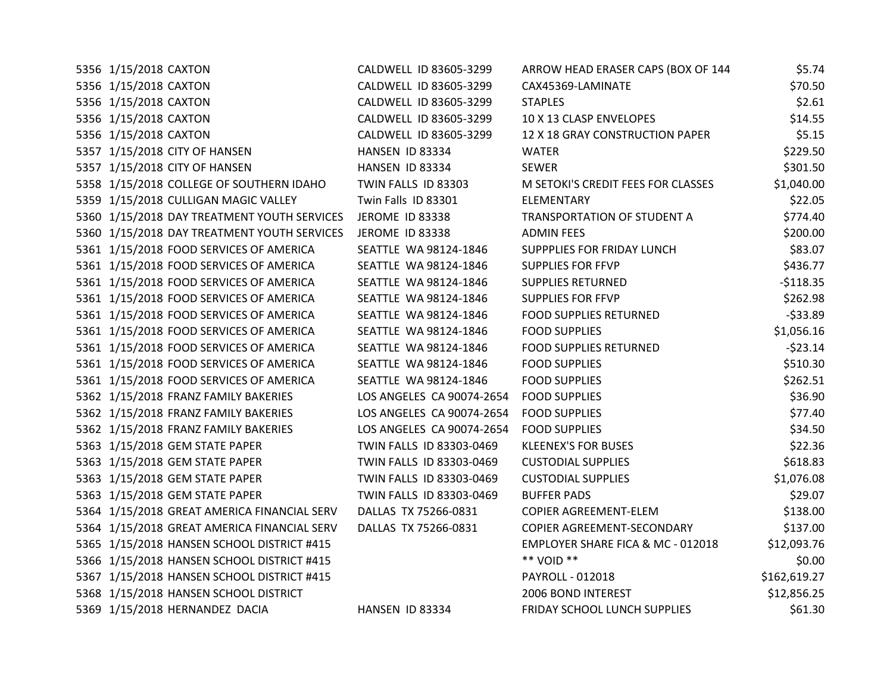| 5356 1/15/2018 CAXTON                       | CALDWELL ID 83605-3299    | ARROW HEAD ERASER CAPS (BOX OF 144 | \$5.74       |
|---------------------------------------------|---------------------------|------------------------------------|--------------|
| 5356 1/15/2018 CAXTON                       | CALDWELL ID 83605-3299    | CAX45369-LAMINATE                  | \$70.50      |
| 5356 1/15/2018 CAXTON                       | CALDWELL ID 83605-3299    | <b>STAPLES</b>                     | \$2.61       |
| 5356 1/15/2018 CAXTON                       | CALDWELL ID 83605-3299    | 10 X 13 CLASP ENVELOPES            | \$14.55      |
| 5356 1/15/2018 CAXTON                       | CALDWELL ID 83605-3299    | 12 X 18 GRAY CONSTRUCTION PAPER    | \$5.15       |
| 5357 1/15/2018 CITY OF HANSEN               | HANSEN ID 83334           | <b>WATER</b>                       | \$229.50     |
| 5357 1/15/2018 CITY OF HANSEN               | HANSEN ID 83334           | <b>SEWER</b>                       | \$301.50     |
| 5358 1/15/2018 COLLEGE OF SOUTHERN IDAHO    | TWIN FALLS ID 83303       | M SETOKI'S CREDIT FEES FOR CLASSES | \$1,040.00   |
| 5359 1/15/2018 CULLIGAN MAGIC VALLEY        | Twin Falls ID 83301       | <b>ELEMENTARY</b>                  | \$22.05      |
| 5360 1/15/2018 DAY TREATMENT YOUTH SERVICES | JEROME ID 83338           | TRANSPORTATION OF STUDENT A        | \$774.40     |
| 5360 1/15/2018 DAY TREATMENT YOUTH SERVICES | <b>JEROME ID 83338</b>    | <b>ADMIN FEES</b>                  | \$200.00     |
| 5361 1/15/2018 FOOD SERVICES OF AMERICA     | SEATTLE WA 98124-1846     | SUPPPLIES FOR FRIDAY LUNCH         | \$83.07      |
| 5361 1/15/2018 FOOD SERVICES OF AMERICA     | SEATTLE WA 98124-1846     | <b>SUPPLIES FOR FFVP</b>           | \$436.77     |
| 5361 1/15/2018 FOOD SERVICES OF AMERICA     | SEATTLE WA 98124-1846     | <b>SUPPLIES RETURNED</b>           | $-5118.35$   |
| 5361 1/15/2018 FOOD SERVICES OF AMERICA     | SEATTLE WA 98124-1846     | <b>SUPPLIES FOR FFVP</b>           | \$262.98     |
| 5361 1/15/2018 FOOD SERVICES OF AMERICA     | SEATTLE WA 98124-1846     | <b>FOOD SUPPLIES RETURNED</b>      | $-533.89$    |
| 5361 1/15/2018 FOOD SERVICES OF AMERICA     | SEATTLE WA 98124-1846     | <b>FOOD SUPPLIES</b>               | \$1,056.16   |
| 5361 1/15/2018 FOOD SERVICES OF AMERICA     | SEATTLE WA 98124-1846     | <b>FOOD SUPPLIES RETURNED</b>      | $-523.14$    |
| 5361 1/15/2018 FOOD SERVICES OF AMERICA     | SEATTLE WA 98124-1846     | <b>FOOD SUPPLIES</b>               | \$510.30     |
| 5361 1/15/2018 FOOD SERVICES OF AMERICA     | SEATTLE WA 98124-1846     | <b>FOOD SUPPLIES</b>               | \$262.51     |
| 5362 1/15/2018 FRANZ FAMILY BAKERIES        | LOS ANGELES CA 90074-2654 | <b>FOOD SUPPLIES</b>               | \$36.90      |
| 5362 1/15/2018 FRANZ FAMILY BAKERIES        | LOS ANGELES CA 90074-2654 | <b>FOOD SUPPLIES</b>               | \$77.40      |
| 5362 1/15/2018 FRANZ FAMILY BAKERIES        | LOS ANGELES CA 90074-2654 | <b>FOOD SUPPLIES</b>               | \$34.50      |
| 5363 1/15/2018 GEM STATE PAPER              | TWIN FALLS ID 83303-0469  | <b>KLEENEX'S FOR BUSES</b>         | \$22.36      |
| 5363 1/15/2018 GEM STATE PAPER              | TWIN FALLS ID 83303-0469  | <b>CUSTODIAL SUPPLIES</b>          | \$618.83     |
| 5363 1/15/2018 GEM STATE PAPER              | TWIN FALLS ID 83303-0469  | <b>CUSTODIAL SUPPLIES</b>          | \$1,076.08   |
| 5363 1/15/2018 GEM STATE PAPER              | TWIN FALLS ID 83303-0469  | <b>BUFFER PADS</b>                 | \$29.07      |
| 5364 1/15/2018 GREAT AMERICA FINANCIAL SERV | DALLAS TX 75266-0831      | COPIER AGREEMENT-ELEM              | \$138.00     |
| 5364 1/15/2018 GREAT AMERICA FINANCIAL SERV | DALLAS TX 75266-0831      | COPIER AGREEMENT-SECONDARY         | \$137.00     |
| 5365 1/15/2018 HANSEN SCHOOL DISTRICT #415  |                           | EMPLOYER SHARE FICA & MC - 012018  | \$12,093.76  |
| 5366 1/15/2018 HANSEN SCHOOL DISTRICT #415  |                           | ** VOID **                         | \$0.00       |
| 5367 1/15/2018 HANSEN SCHOOL DISTRICT #415  |                           | PAYROLL - 012018                   | \$162,619.27 |
| 5368 1/15/2018 HANSEN SCHOOL DISTRICT       |                           | 2006 BOND INTEREST                 | \$12,856.25  |
| 5369 1/15/2018 HERNANDEZ DACIA              | HANSEN ID 83334           | FRIDAY SCHOOL LUNCH SUPPLIES       | \$61.30      |
|                                             |                           |                                    |              |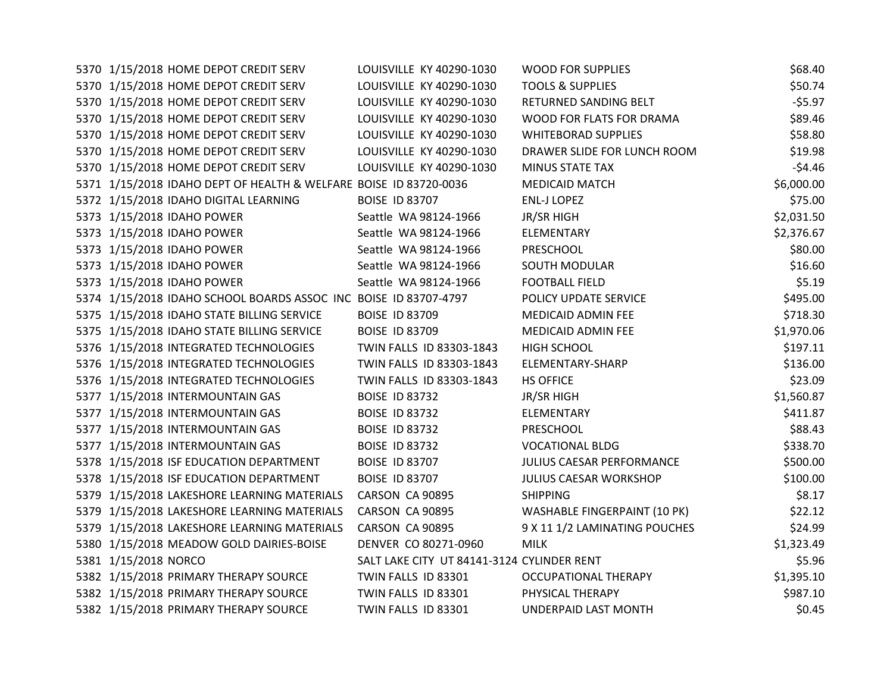| 5370 1/15/2018 HOME DEPOT CREDIT SERV                             | LOUISVILLE KY 40290-1030                   | <b>WOOD FOR SUPPLIES</b>      | \$68.40    |
|-------------------------------------------------------------------|--------------------------------------------|-------------------------------|------------|
| 5370 1/15/2018 HOME DEPOT CREDIT SERV                             | LOUISVILLE KY 40290-1030                   | <b>TOOLS &amp; SUPPLIES</b>   | \$50.74    |
| 5370 1/15/2018 HOME DEPOT CREDIT SERV                             | LOUISVILLE KY 40290-1030                   | RETURNED SANDING BELT         | $-55.97$   |
| 5370 1/15/2018 HOME DEPOT CREDIT SERV                             | LOUISVILLE KY 40290-1030                   | WOOD FOR FLATS FOR DRAMA      | \$89.46    |
| 5370 1/15/2018 HOME DEPOT CREDIT SERV                             | LOUISVILLE KY 40290-1030                   | <b>WHITEBORAD SUPPLIES</b>    | \$58.80    |
| 5370 1/15/2018 HOME DEPOT CREDIT SERV                             | LOUISVILLE KY 40290-1030                   | DRAWER SLIDE FOR LUNCH ROOM   | \$19.98    |
| 5370 1/15/2018 HOME DEPOT CREDIT SERV                             | LOUISVILLE KY 40290-1030                   | MINUS STATE TAX               | $-54.46$   |
| 5371 1/15/2018 IDAHO DEPT OF HEALTH & WELFARE BOISE ID 83720-0036 |                                            | <b>MEDICAID MATCH</b>         | \$6,000.00 |
| 5372 1/15/2018 IDAHO DIGITAL LEARNING                             | <b>BOISE ID 83707</b>                      | <b>ENL-J LOPEZ</b>            | \$75.00    |
| 5373 1/15/2018 IDAHO POWER                                        | Seattle WA 98124-1966                      | JR/SR HIGH                    | \$2,031.50 |
| 5373 1/15/2018 IDAHO POWER                                        | Seattle WA 98124-1966                      | ELEMENTARY                    | \$2,376.67 |
| 5373 1/15/2018 IDAHO POWER                                        | Seattle WA 98124-1966                      | PRESCHOOL                     | \$80.00    |
| 5373 1/15/2018 IDAHO POWER                                        | Seattle WA 98124-1966                      | <b>SOUTH MODULAR</b>          | \$16.60    |
| 5373 1/15/2018 IDAHO POWER                                        | Seattle WA 98124-1966                      | <b>FOOTBALL FIELD</b>         | \$5.19     |
| 5374 1/15/2018 IDAHO SCHOOL BOARDS ASSOC INC BOISE ID 83707-4797  |                                            | POLICY UPDATE SERVICE         | \$495.00   |
| 5375 1/15/2018 IDAHO STATE BILLING SERVICE                        | <b>BOISE ID 83709</b>                      | MEDICAID ADMIN FEE            | \$718.30   |
| 5375 1/15/2018 IDAHO STATE BILLING SERVICE                        | <b>BOISE ID 83709</b>                      | MEDICAID ADMIN FEE            | \$1,970.06 |
| 5376 1/15/2018 INTEGRATED TECHNOLOGIES                            | TWIN FALLS ID 83303-1843                   | <b>HIGH SCHOOL</b>            | \$197.11   |
| 5376 1/15/2018 INTEGRATED TECHNOLOGIES                            | TWIN FALLS ID 83303-1843                   | ELEMENTARY-SHARP              | \$136.00   |
| 5376 1/15/2018 INTEGRATED TECHNOLOGIES                            | TWIN FALLS ID 83303-1843                   | <b>HS OFFICE</b>              | \$23.09    |
| 5377 1/15/2018 INTERMOUNTAIN GAS                                  | <b>BOISE ID 83732</b>                      | JR/SR HIGH                    | \$1,560.87 |
| 5377 1/15/2018 INTERMOUNTAIN GAS                                  | <b>BOISE ID 83732</b>                      | ELEMENTARY                    | \$411.87   |
| 5377 1/15/2018 INTERMOUNTAIN GAS                                  | <b>BOISE ID 83732</b>                      | PRESCHOOL                     | \$88.43    |
| 5377 1/15/2018 INTERMOUNTAIN GAS                                  | <b>BOISE ID 83732</b>                      | <b>VOCATIONAL BLDG</b>        | \$338.70   |
| 5378 1/15/2018 ISF EDUCATION DEPARTMENT                           | <b>BOISE ID 83707</b>                      | JULIUS CAESAR PERFORMANCE     | \$500.00   |
| 5378 1/15/2018 ISF EDUCATION DEPARTMENT                           | <b>BOISE ID 83707</b>                      | JULIUS CAESAR WORKSHOP        | \$100.00   |
| 5379 1/15/2018 LAKESHORE LEARNING MATERIALS                       | CARSON CA 90895                            | <b>SHIPPING</b>               | \$8.17     |
| 5379 1/15/2018 LAKESHORE LEARNING MATERIALS                       | CARSON CA 90895                            | WASHABLE FINGERPAINT (10 PK)  | \$22.12    |
| 5379 1/15/2018 LAKESHORE LEARNING MATERIALS                       | CARSON CA 90895                            | 9 X 11 1/2 LAMINATING POUCHES | \$24.99    |
| 5380 1/15/2018 MEADOW GOLD DAIRIES-BOISE                          | DENVER CO 80271-0960                       | <b>MILK</b>                   | \$1,323.49 |
| 5381 1/15/2018 NORCO                                              | SALT LAKE CITY UT 84141-3124 CYLINDER RENT |                               | \$5.96     |
| 5382 1/15/2018 PRIMARY THERAPY SOURCE                             | TWIN FALLS ID 83301                        | OCCUPATIONAL THERAPY          | \$1,395.10 |
| 5382 1/15/2018 PRIMARY THERAPY SOURCE                             | TWIN FALLS ID 83301                        | PHYSICAL THERAPY              | \$987.10   |
| 5382 1/15/2018 PRIMARY THERAPY SOURCE                             | TWIN FALLS ID 83301                        | UNDERPAID LAST MONTH          | \$0.45     |
|                                                                   |                                            |                               |            |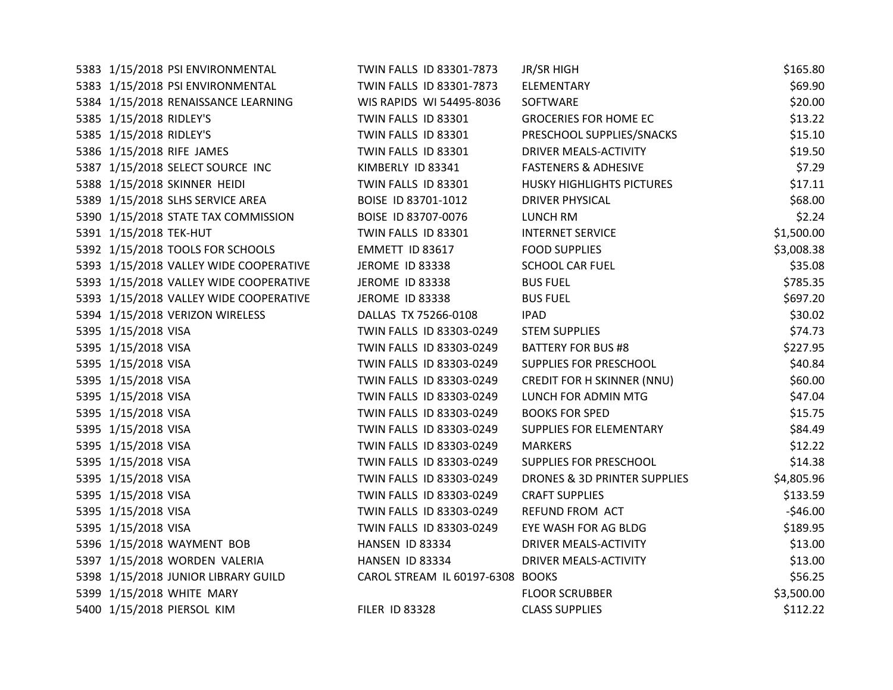| 5383 1/15/2018 PSI ENVIRONMENTAL       | TWIN FALLS ID 83301-7873         | JR/SR HIGH                              | \$165.80   |
|----------------------------------------|----------------------------------|-----------------------------------------|------------|
| 5383 1/15/2018 PSI ENVIRONMENTAL       | TWIN FALLS ID 83301-7873         | ELEMENTARY                              | \$69.90    |
| 5384 1/15/2018 RENAISSANCE LEARNING    | WIS RAPIDS WI 54495-8036         | SOFTWARE                                | \$20.00    |
| 5385 1/15/2018 RIDLEY'S                | TWIN FALLS ID 83301              | <b>GROCERIES FOR HOME EC</b>            | \$13.22    |
| 5385 1/15/2018 RIDLEY'S                | TWIN FALLS ID 83301              | PRESCHOOL SUPPLIES/SNACKS               | \$15.10    |
| 5386 1/15/2018 RIFE JAMES              | TWIN FALLS ID 83301              | DRIVER MEALS-ACTIVITY                   | \$19.50    |
| 5387 1/15/2018 SELECT SOURCE INC       | KIMBERLY ID 83341                | <b>FASTENERS &amp; ADHESIVE</b>         | \$7.29     |
| 5388 1/15/2018 SKINNER HEIDI           | TWIN FALLS ID 83301              | <b>HUSKY HIGHLIGHTS PICTURES</b>        | \$17.11    |
| 5389 1/15/2018 SLHS SERVICE AREA       | BOISE ID 83701-1012              | <b>DRIVER PHYSICAL</b>                  | \$68.00    |
| 5390 1/15/2018 STATE TAX COMMISSION    | BOISE ID 83707-0076              | <b>LUNCH RM</b>                         | \$2.24     |
| 5391 1/15/2018 TEK-HUT                 | TWIN FALLS ID 83301              | <b>INTERNET SERVICE</b>                 | \$1,500.00 |
| 5392 1/15/2018 TOOLS FOR SCHOOLS       | EMMETT ID 83617                  | <b>FOOD SUPPLIES</b>                    | \$3,008.38 |
| 5393 1/15/2018 VALLEY WIDE COOPERATIVE | JEROME ID 83338                  | <b>SCHOOL CAR FUEL</b>                  | \$35.08    |
| 5393 1/15/2018 VALLEY WIDE COOPERATIVE | JEROME ID 83338                  | <b>BUS FUEL</b>                         | \$785.35   |
| 5393 1/15/2018 VALLEY WIDE COOPERATIVE | <b>JEROME ID 83338</b>           | <b>BUS FUEL</b>                         | \$697.20   |
| 5394 1/15/2018 VERIZON WIRELESS        | DALLAS TX 75266-0108             | <b>IPAD</b>                             | \$30.02    |
| 5395 1/15/2018 VISA                    | TWIN FALLS ID 83303-0249         | <b>STEM SUPPLIES</b>                    | \$74.73    |
| 5395 1/15/2018 VISA                    | TWIN FALLS ID 83303-0249         | <b>BATTERY FOR BUS #8</b>               | \$227.95   |
| 5395 1/15/2018 VISA                    | TWIN FALLS ID 83303-0249         | SUPPLIES FOR PRESCHOOL                  | \$40.84    |
| 5395 1/15/2018 VISA                    | TWIN FALLS ID 83303-0249         | CREDIT FOR H SKINNER (NNU)              | \$60.00    |
| 5395 1/15/2018 VISA                    | TWIN FALLS ID 83303-0249         | LUNCH FOR ADMIN MTG                     | \$47.04    |
| 5395 1/15/2018 VISA                    | TWIN FALLS ID 83303-0249         | <b>BOOKS FOR SPED</b>                   | \$15.75    |
| 5395 1/15/2018 VISA                    | TWIN FALLS ID 83303-0249         | SUPPLIES FOR ELEMENTARY                 | \$84.49    |
| 5395 1/15/2018 VISA                    | TWIN FALLS ID 83303-0249         | <b>MARKERS</b>                          | \$12.22    |
| 5395 1/15/2018 VISA                    | TWIN FALLS ID 83303-0249         | SUPPLIES FOR PRESCHOOL                  | \$14.38    |
| 5395 1/15/2018 VISA                    | TWIN FALLS ID 83303-0249         | <b>DRONES &amp; 3D PRINTER SUPPLIES</b> | \$4,805.96 |
| 5395 1/15/2018 VISA                    | TWIN FALLS ID 83303-0249         | <b>CRAFT SUPPLIES</b>                   | \$133.59   |
| 5395 1/15/2018 VISA                    | TWIN FALLS ID 83303-0249         | REFUND FROM ACT                         | $-$46.00$  |
| 5395 1/15/2018 VISA                    | TWIN FALLS ID 83303-0249         | EYE WASH FOR AG BLDG                    | \$189.95   |
| 5396 1/15/2018 WAYMENT BOB             | HANSEN ID 83334                  | DRIVER MEALS-ACTIVITY                   | \$13.00    |
| 5397 1/15/2018 WORDEN VALERIA          | HANSEN ID 83334                  | DRIVER MEALS-ACTIVITY                   | \$13.00    |
| 5398 1/15/2018 JUNIOR LIBRARY GUILD    | CAROL STREAM IL 60197-6308 BOOKS |                                         | \$56.25    |
| 5399 1/15/2018 WHITE MARY              |                                  | <b>FLOOR SCRUBBER</b>                   | \$3,500.00 |
| 5400 1/15/2018 PIERSOL KIM             | <b>FILER ID 83328</b>            | <b>CLASS SUPPLIES</b>                   | \$112.22   |